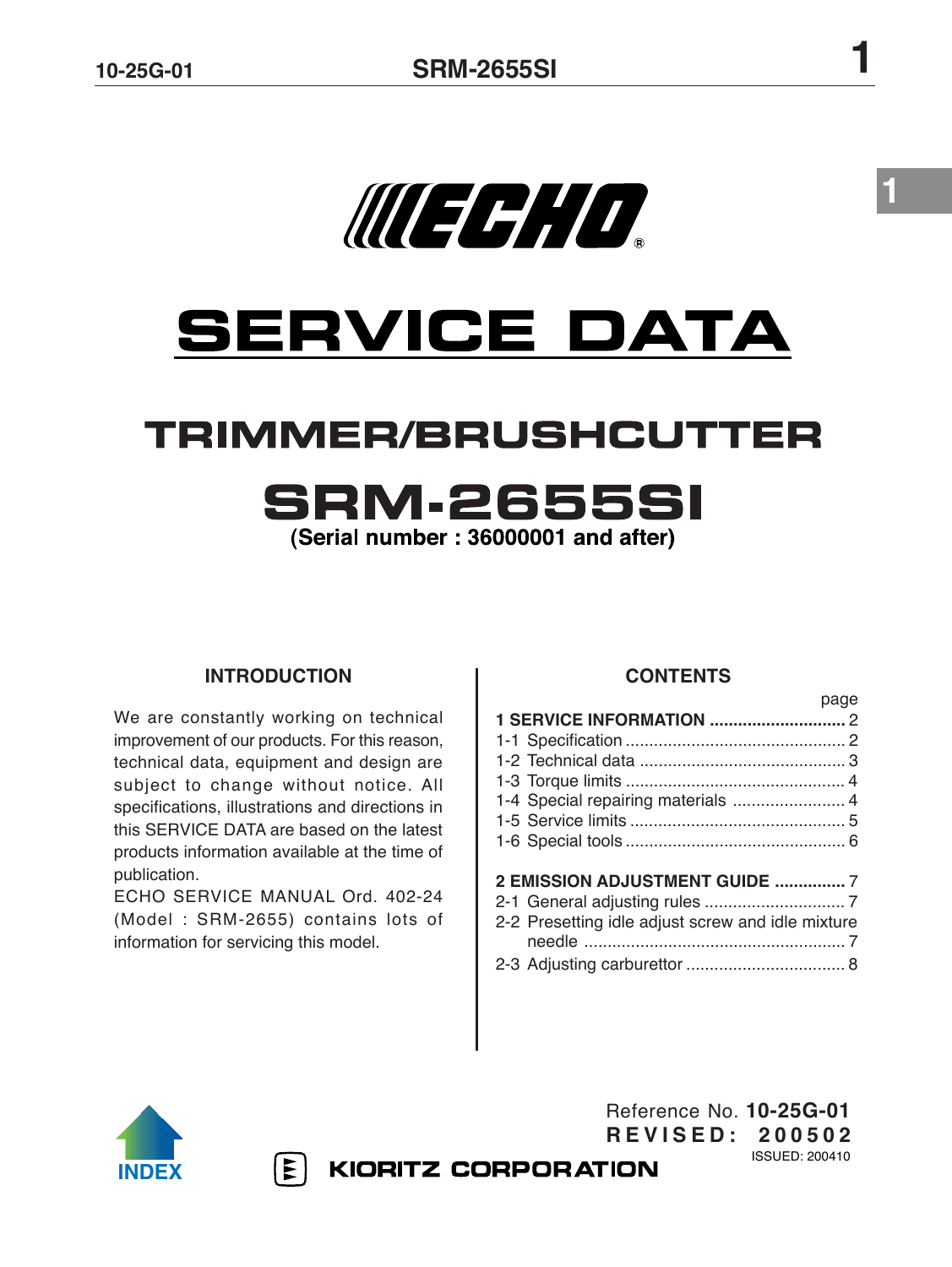

MERHO.

# **TRIMMER/BRUSHCUTTER SRM.2655SI**

(Serial number: 36000001 and after)

# **INTRODUCTION**

We are constantly working on technical improvement of our products. For this reason, technical data, equipment and design are subject to change without notice. All specifications, illustrations and directions in this SERVICE DATA are based on the latest products information available at the time of publication.

ECHO SERVICE MANUAL Ord. 402-24 (Model : SRM-2655) contains lots of information for servicing this model.

# **CONTENTS**

|                                                   | page |
|---------------------------------------------------|------|
|                                                   |      |
|                                                   |      |
|                                                   |      |
|                                                   |      |
| 1-4 Special repairing materials  4                |      |
|                                                   |      |
|                                                   |      |
| 2 EMISSION ADJUSTMENT GUIDE  7                    |      |
|                                                   |      |
| 2-2 Presetting idle adjust screw and idle mixture |      |
|                                                   |      |
|                                                   |      |
|                                                   |      |

Reference No. **10-25G-01 R E V I S E D : 2 0 0 5 0 2**

ISSUED: 200410





**KIORITZ CORPORATION** 

**1**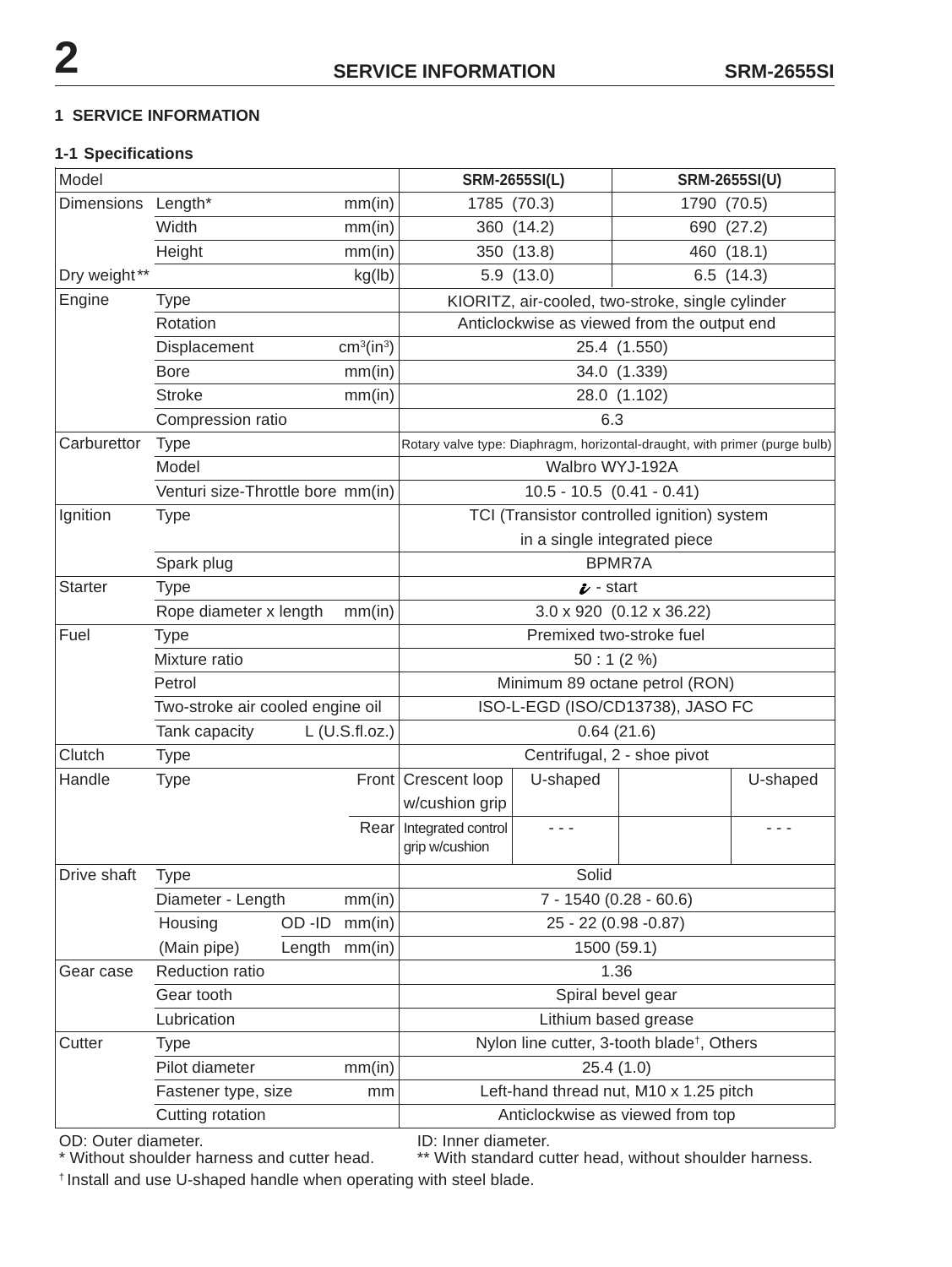# **1 SERVICE INFORMATION**

## **1-1 Specifications**

| Model                                  |                                                    |             |                                 |                                                        | <b>SRM-2655SI(L)</b>                             | <b>SRM-2655SI(U)</b>                                                       |          |
|----------------------------------------|----------------------------------------------------|-------------|---------------------------------|--------------------------------------------------------|--------------------------------------------------|----------------------------------------------------------------------------|----------|
| <b>Dimensions</b><br>Length*<br>mm(in) |                                                    | 1785 (70.3) |                                 | 1790 (70.5)                                            |                                                  |                                                                            |          |
|                                        | Width                                              |             | mm(in)                          |                                                        | 360 (14.2)                                       | 690 (27.2)                                                                 |          |
|                                        | Height                                             |             | mm(in)                          |                                                        | 350 (13.8)                                       | 460 (18.1)                                                                 |          |
| Dry weight**                           |                                                    |             | kg(lb)                          |                                                        | 5.9(13.0)                                        | 6.5(14.3)                                                                  |          |
| Engine                                 | <b>Type</b>                                        |             |                                 |                                                        | KIORITZ, air-cooled, two-stroke, single cylinder |                                                                            |          |
|                                        | Rotation                                           |             |                                 |                                                        |                                                  | Anticlockwise as viewed from the output end                                |          |
|                                        | cm <sup>3</sup> (in <sup>3</sup> )<br>Displacement |             |                                 | 25.4 (1.550)                                           |                                                  |                                                                            |          |
|                                        | <b>Bore</b><br>mm(in)                              |             |                                 | 34.0 (1.339)                                           |                                                  |                                                                            |          |
|                                        | <b>Stroke</b><br>mm(in)                            |             |                                 | 28.0 (1.102)                                           |                                                  |                                                                            |          |
|                                        | Compression ratio                                  |             |                                 | 6.3                                                    |                                                  |                                                                            |          |
| Carburettor                            | <b>Type</b>                                        |             |                                 |                                                        |                                                  | Rotary valve type: Diaphragm, horizontal-draught, with primer (purge bulb) |          |
|                                        | Model                                              |             |                                 | Walbro WYJ-192A                                        |                                                  |                                                                            |          |
|                                        | Venturi size-Throttle bore mm(in)                  |             |                                 | $10.5 - 10.5 (0.41 - 0.41)$                            |                                                  |                                                                            |          |
| Ignition                               | <b>Type</b>                                        |             |                                 | TCI (Transistor controlled ignition) system            |                                                  |                                                                            |          |
|                                        |                                                    |             | in a single integrated piece    |                                                        |                                                  |                                                                            |          |
|                                        | Spark plug                                         |             | BPMR7A                          |                                                        |                                                  |                                                                            |          |
| <b>Starter</b>                         | <b>Type</b>                                        |             | $\boldsymbol{\nu}$ - start      |                                                        |                                                  |                                                                            |          |
|                                        | Rope diameter x length<br>mm(in)                   |             | $3.0 \times 920$ (0.12 x 36.22) |                                                        |                                                  |                                                                            |          |
| Fuel                                   | <b>Type</b>                                        |             |                                 |                                                        |                                                  | Premixed two-stroke fuel                                                   |          |
|                                        | Mixture ratio                                      |             |                                 |                                                        | $50:1(2\%)$                                      |                                                                            |          |
|                                        | Petrol                                             |             |                                 |                                                        |                                                  | Minimum 89 octane petrol (RON)                                             |          |
|                                        | Two-stroke air cooled engine oil                   |             |                                 |                                                        |                                                  | ISO-L-EGD (ISO/CD13738), JASO FC                                           |          |
|                                        | Tank capacity                                      |             | $L$ (U.S.fl.oz.)                |                                                        |                                                  | 0.64(21.6)                                                                 |          |
| Clutch                                 | <b>Type</b>                                        |             |                                 |                                                        |                                                  | Centrifugal, 2 - shoe pivot                                                |          |
| Handle                                 | <b>Type</b>                                        |             |                                 | Front Crescent loop                                    | U-shaped                                         |                                                                            | U-shaped |
|                                        |                                                    |             |                                 | w/cushion grip                                         |                                                  |                                                                            |          |
|                                        |                                                    |             | Rear                            | Integrated control<br>grip w/cushion                   | $  -$                                            |                                                                            | - - -    |
| Drive shaft                            | <b>Type</b>                                        |             |                                 | Solid                                                  |                                                  |                                                                            |          |
|                                        | Diameter - Length<br>mm(in)                        |             | $7 - 1540(0.28 - 60.6)$         |                                                        |                                                  |                                                                            |          |
|                                        | Housing                                            | OD-ID       | mm(in)                          | 25 - 22 (0.98 - 0.87)                                  |                                                  |                                                                            |          |
|                                        | (Main pipe)                                        | Length      | mm(in)                          | 1500 (59.1)                                            |                                                  |                                                                            |          |
| Gear case                              | Reduction ratio                                    |             |                                 | 1.36                                                   |                                                  |                                                                            |          |
|                                        | Gear tooth                                         |             |                                 | Spiral bevel gear                                      |                                                  |                                                                            |          |
|                                        | Lubrication                                        |             |                                 | Lithium based grease                                   |                                                  |                                                                            |          |
| Cutter                                 | <b>Type</b>                                        |             |                                 | Nylon line cutter, 3-tooth blade <sup>†</sup> , Others |                                                  |                                                                            |          |
|                                        | Pilot diameter<br>mm(in)                           |             |                                 | 25.4(1.0)                                              |                                                  |                                                                            |          |
|                                        | Fastener type, size<br>mm                          |             |                                 | Left-hand thread nut, M10 x 1.25 pitch                 |                                                  |                                                                            |          |
|                                        | Cutting rotation                                   |             |                                 | Anticlockwise as viewed from top                       |                                                  |                                                                            |          |

OD: Outer diameter. ID: Inner diameter.<br>\* Without shoulder harness and cutter head. \*\* With standard cu \*\* With standard cutter head, without shoulder harness. † Install and use U-shaped handle when operating with steel blade.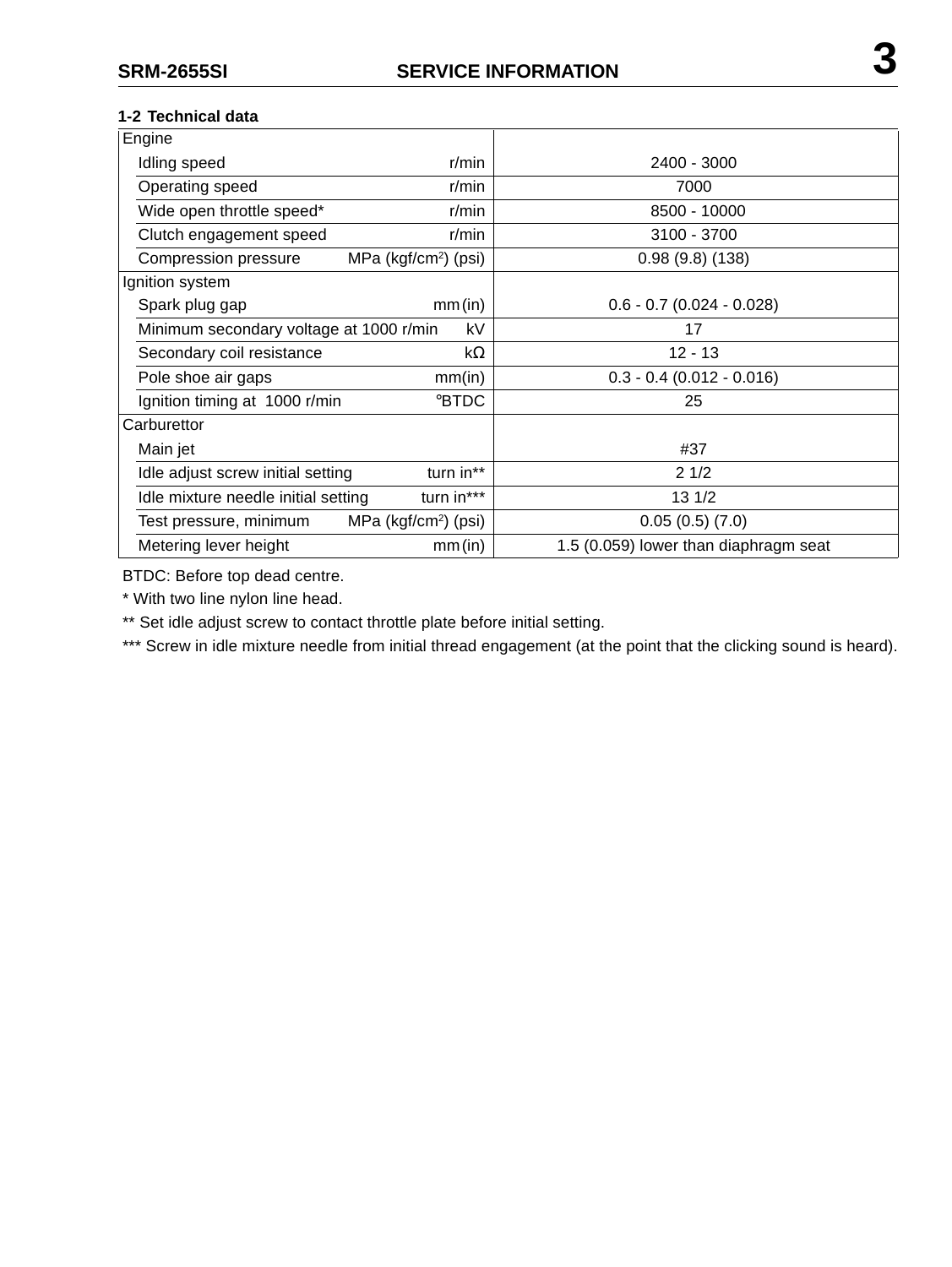## **1-2 Technical data**

| Engine                                            |            |                                       |  |  |
|---------------------------------------------------|------------|---------------------------------------|--|--|
| Idling speed<br>$r/m$ in                          |            | 2400 - 3000                           |  |  |
| Operating speed                                   | $r/m$ in   | 7000                                  |  |  |
| Wide open throttle speed*                         | r/min      | 8500 - 10000                          |  |  |
| Clutch engagement speed                           | r/min      | 3100 - 3700                           |  |  |
| MPa ( $kgf/cm2$ ) (psi)<br>Compression pressure   |            | 0.98(9.8)(138)                        |  |  |
| Ignition system                                   |            |                                       |  |  |
| Spark plug gap<br>mm(in)                          |            | $0.6 - 0.7$ (0.024 - 0.028)           |  |  |
| Minimum secondary voltage at 1000 r/min           | kV         | 17                                    |  |  |
| Secondary coil resistance                         | kΩ         | $12 - 13$                             |  |  |
| Pole shoe air gaps<br>mm(in)                      |            | $0.3 - 0.4$ (0.012 - 0.016)           |  |  |
| °BTDC<br>Ignition timing at 1000 r/min            |            | 25                                    |  |  |
| Carburettor                                       |            |                                       |  |  |
| Main jet                                          |            | #37                                   |  |  |
| Idle adjust screw initial setting                 | turn in**  | 21/2                                  |  |  |
| Idle mixture needle initial setting               | turn in*** | $13 \frac{1}{2}$                      |  |  |
| MPa ( $kgf/cm2$ ) (psi)<br>Test pressure, minimum |            | 0.05(0.5)(7.0)                        |  |  |
| Metering lever height                             | mm(in)     | 1.5 (0.059) lower than diaphragm seat |  |  |

BTDC: Before top dead centre.

\* With two line nylon line head.

\*\* Set idle adjust screw to contact throttle plate before initial setting.

\*\*\* Screw in idle mixture needle from initial thread engagement (at the point that the clicking sound is heard).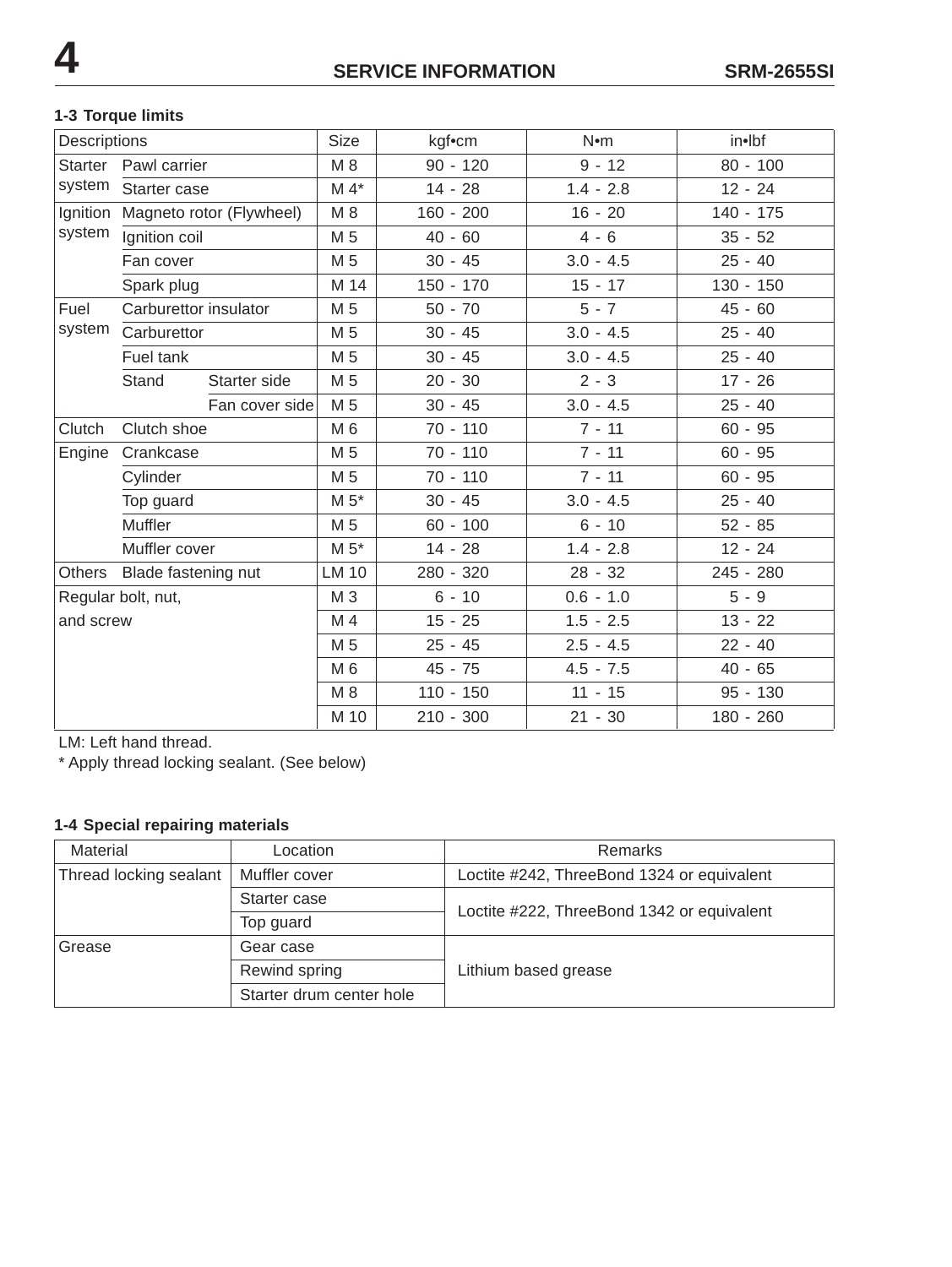# **1-3 Torque limits**

| Descriptions       |                       |                          | Size           | kgf•cm      | N•m         | in•lbf      |
|--------------------|-----------------------|--------------------------|----------------|-------------|-------------|-------------|
| Starter            | Pawl carrier          |                          | M 8            | $90 - 120$  | $9 - 12$    | $80 - 100$  |
| system             | Starter case          |                          | $M 4*$         | $14 - 28$   | $1.4 - 2.8$ | $12 - 24$   |
| Ignition           |                       | Magneto rotor (Flywheel) | M 8            | $160 - 200$ | $16 - 20$   | $140 - 175$ |
| system             | Ignition coil         |                          | M 5            | $40 - 60$   | $4 - 6$     | $35 - 52$   |
|                    | Fan cover             |                          | M 5            | $30 - 45$   | $3.0 - 4.5$ | $25 - 40$   |
|                    | Spark plug            |                          | M 14           | $150 - 170$ | $15 - 17$   | $130 - 150$ |
| Fuel               | Carburettor insulator |                          | M 5            | $50 - 70$   | $5 - 7$     | $45 - 60$   |
| system             | Carburettor           |                          | M <sub>5</sub> | $30 - 45$   | $3.0 - 4.5$ | $25 - 40$   |
|                    | Fuel tank             |                          | M 5            | $30 - 45$   | $3.0 - 4.5$ | $25 - 40$   |
|                    | Stand                 | Starter side             | M 5            | $20 - 30$   | $2 - 3$     | $17 - 26$   |
|                    |                       | Fan cover side           | M 5            | $30 - 45$   | $3.0 - 4.5$ | $25 - 40$   |
| Clutch             | Clutch shoe           |                          | M 6            | $70 - 110$  | $7 - 11$    | $60 - 95$   |
| Engine             | Crankcase             |                          | M <sub>5</sub> | $70 - 110$  | $7 - 11$    | $60 - 95$   |
|                    | Cylinder              |                          | M 5            | 70 - 110    | $7 - 11$    | $60 - 95$   |
|                    | Top guard             |                          | $M 5^*$        | $30 - 45$   | $3.0 - 4.5$ | $25 - 40$   |
|                    | Muffler               |                          | M 5            | $60 - 100$  | $6 - 10$    | $52 - 85$   |
|                    | Muffler cover         |                          | $M 5*$         | $14 - 28$   | $1.4 - 2.8$ | $12 - 24$   |
| Others             | Blade fastening nut   |                          | <b>LM 10</b>   | 280 - 320   | $28 - 32$   | 245 - 280   |
| Regular bolt, nut, |                       |                          | M 3            | $6 - 10$    | $0.6 - 1.0$ | $5 - 9$     |
| and screw          |                       |                          | M 4            | $15 - 25$   | $1.5 - 2.5$ | $13 - 22$   |
|                    |                       |                          | M 5            | $25 - 45$   | $2.5 - 4.5$ | $22 - 40$   |
|                    |                       |                          | M 6            | $45 - 75$   | $4.5 - 7.5$ | $40 - 65$   |
|                    |                       |                          | M 8            | $110 - 150$ | $11 - 15$   | $95 - 130$  |
|                    |                       |                          | M 10           | $210 - 300$ | $21 - 30$   | 180 - 260   |

LM: Left hand thread.

\* Apply thread locking sealant. (See below)

# **1-4 Special repairing materials**

| Material               | Location                 | Remarks                                    |  |
|------------------------|--------------------------|--------------------------------------------|--|
| Thread locking sealant | Muffler cover            | Loctite #242, ThreeBond 1324 or equivalent |  |
|                        | Starter case             | Loctite #222, ThreeBond 1342 or equivalent |  |
|                        | Top guard                |                                            |  |
| Grease                 | Gear case                | Lithium based grease                       |  |
|                        | Rewind spring            |                                            |  |
|                        | Starter drum center hole |                                            |  |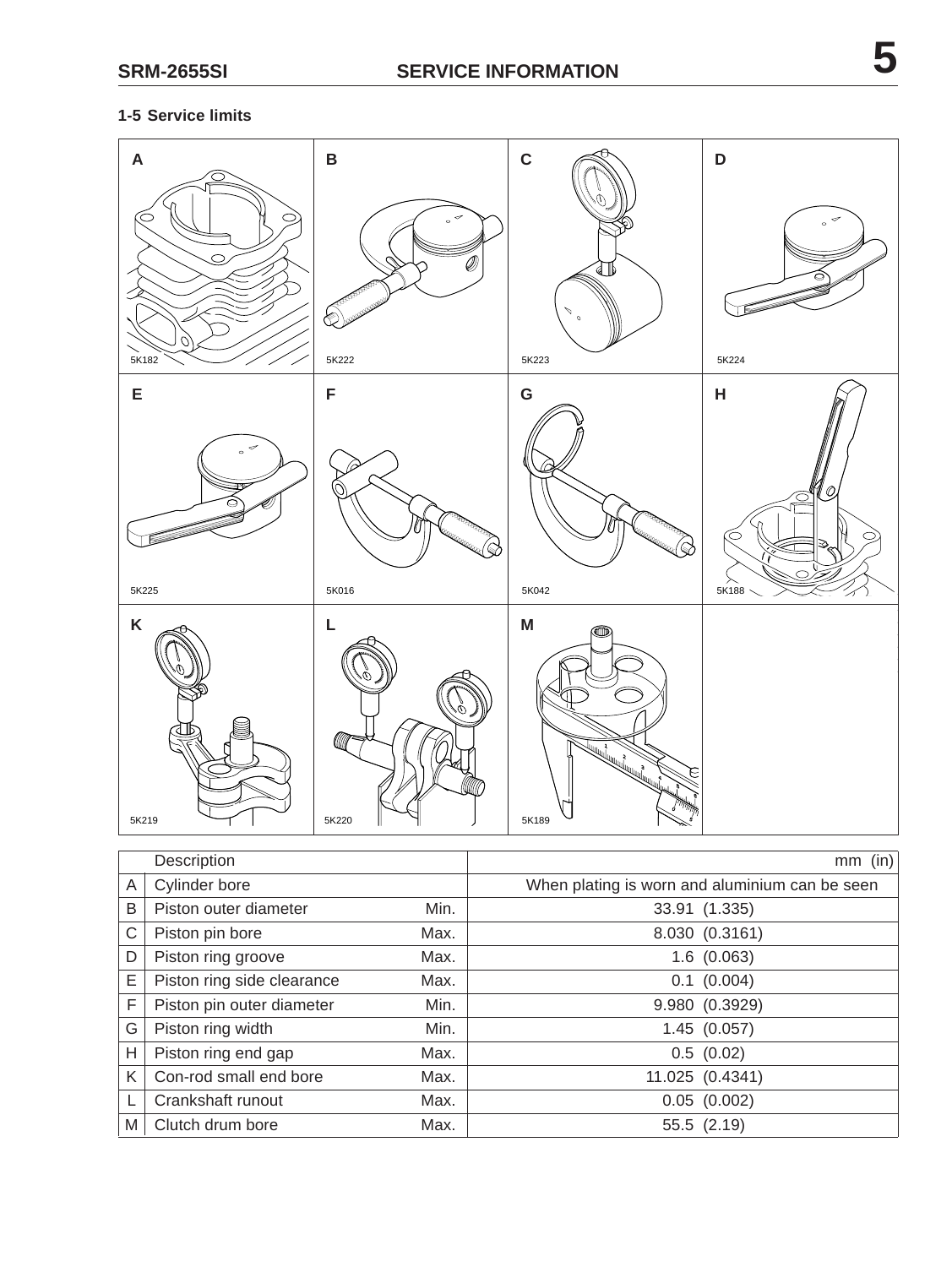# **1-5 Service limits**

| $\pmb{\mathsf{A}}$                              | $\, {\bf B}$                                                                | $\mathbf C$                                                                                                                                                                                                                                   | $\mathbf D$                                |
|-------------------------------------------------|-----------------------------------------------------------------------------|-----------------------------------------------------------------------------------------------------------------------------------------------------------------------------------------------------------------------------------------------|--------------------------------------------|
| O<br>⊂<br>$\circ$<br>Ο<br>5K182                 | $_{\circ}$ $\sim$<br>Ø)<br><b>PERSONAL</b><br><b>December 2009</b><br>5K222 | Λ<br>$\mathfrak{o}$<br>5K223                                                                                                                                                                                                                  | $_{\circ}$ $\hspace{0.1cm}\sigma$<br>5K224 |
| E                                               | F                                                                           | G                                                                                                                                                                                                                                             | $\boldsymbol{\mathsf{H}}$                  |
| $_{\circ}$ $\hspace{0.1cm}\sigma$<br>c<br>5K225 | <b>RAMARADOR</b><br><b>Killedge /</b><br>$\mathbb{Q}$<br>5K016              | <b>Construction Construction Construction Construction Construction Construction Construction Construction Construction Construction Construction Construction Construction Construction Construction Construction Construction </b><br>5K042 | $\mathcal{O}$<br>$\circ$<br>C<br>5K188     |
| Κ<br>5K219                                      | L<br>Ø<br>M<br>5K220                                                        | M<br>œ<br>August 1979<br>E<br>5K189                                                                                                                                                                                                           |                                            |

|   | Description                |      | $mm$ (in)                                      |
|---|----------------------------|------|------------------------------------------------|
| A | Cylinder bore              |      | When plating is worn and aluminium can be seen |
| B | Piston outer diameter      | Min. | 33.91 (1.335)                                  |
| С | Piston pin bore            | Max. | 8.030 (0.3161)                                 |
| D | Piston ring groove         | Max. | 1.6(0.063)                                     |
| E | Piston ring side clearance | Max. | 0.1 (0.004)                                    |
| F | Piston pin outer diameter  | Min. | 9.980 (0.3929)                                 |
| G | Piston ring width          | Min. | 1.45(0.057)                                    |
| Н | Piston ring end gap        | Max. | 0.5(0.02)                                      |
| Κ | Con-rod small end bore     | Max. | 11.025 (0.4341)                                |
|   | Crankshaft runout          | Max. | 0.05(0.002)                                    |
| Μ | Clutch drum bore           | Max. | 55.5 (2.19)                                    |

10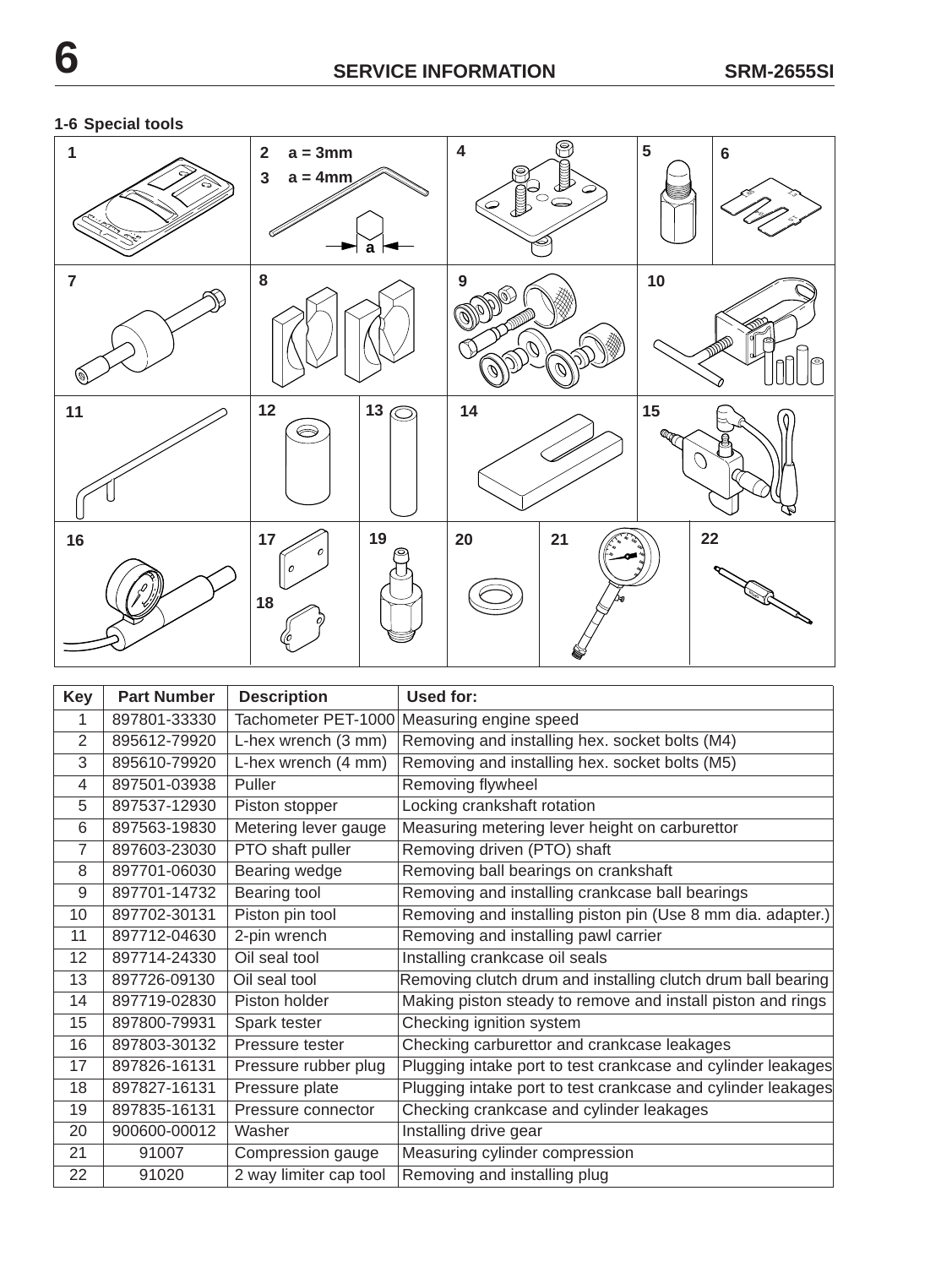# **1-6 Special tools**



| <b>Key</b>     | <b>Part Number</b> | <b>Description</b>     | Used for:                                                    |
|----------------|--------------------|------------------------|--------------------------------------------------------------|
| 1              | 897801-33330       |                        | Tachometer PET-1000 Measuring engine speed                   |
| $\overline{2}$ | 895612-79920       | L-hex wrench (3 mm)    | Removing and installing hex. socket bolts (M4)               |
| 3              | 895610-79920       | L-hex wrench (4 mm)    | Removing and installing hex. socket bolts (M5)               |
| 4              | 897501-03938       | Puller                 | Removing flywheel                                            |
| 5              | 897537-12930       | Piston stopper         | Locking crankshaft rotation                                  |
| 6              | 897563-19830       | Metering lever gauge   | Measuring metering lever height on carburettor               |
| $\overline{7}$ | 897603-23030       | PTO shaft puller       | Removing driven (PTO) shaft                                  |
| 8              | 897701-06030       | Bearing wedge          | Removing ball bearings on crankshaft                         |
| 9              | 897701-14732       | Bearing tool           | Removing and installing crankcase ball bearings              |
| 10             | 897702-30131       | Piston pin tool        | Removing and installing piston pin (Use 8 mm dia. adapter.)  |
| 11             | 897712-04630       | 2-pin wrench           | Removing and installing pawl carrier                         |
| 12             | 897714-24330       | Oil seal tool          | Installing crankcase oil seals                               |
| 13             | 897726-09130       | Oil seal tool          | Removing clutch drum and installing clutch drum ball bearing |
| 14             | 897719-02830       | Piston holder          | Making piston steady to remove and install piston and rings  |
| 15             | 897800-79931       | Spark tester           | Checking ignition system                                     |
| 16             | 897803-30132       | Pressure tester        | Checking carburettor and crankcase leakages                  |
| 17             | 897826-16131       | Pressure rubber plug   | Plugging intake port to test crankcase and cylinder leakages |
| 18             | 897827-16131       | Pressure plate         | Plugging intake port to test crankcase and cylinder leakages |
| 19             | 897835-16131       | Pressure connector     | Checking crankcase and cylinder leakages                     |
| 20             | 900600-00012       | Washer                 | Installing drive gear                                        |
| 21             | 91007              | Compression gauge      | Measuring cylinder compression                               |
| 22             | 91020              | 2 way limiter cap tool | Removing and installing plug                                 |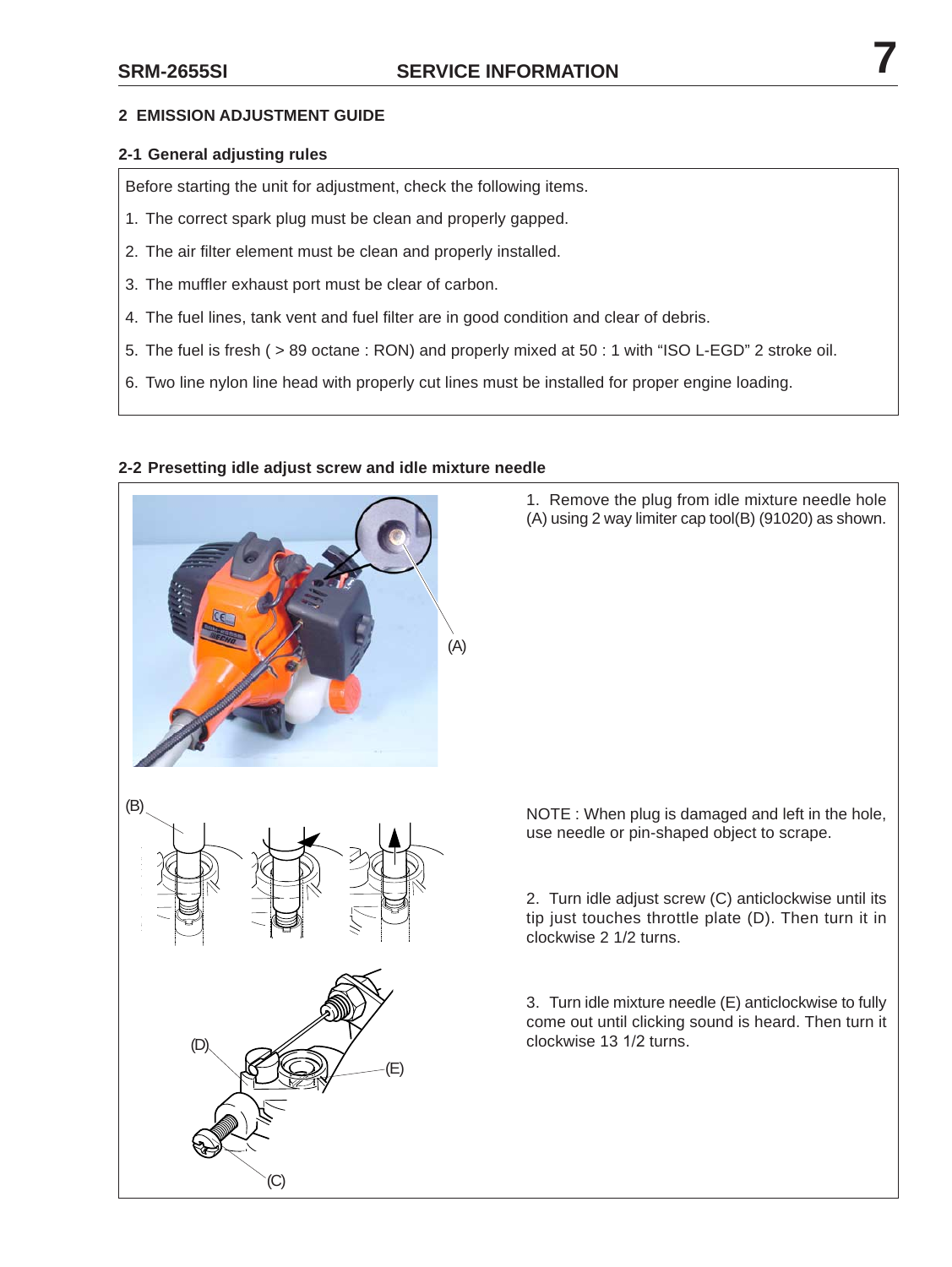#### **2 EMISSION ADJUSTMENT GUIDE**

#### **2-1 General adjusting rules**

Before starting the unit for adjustment, check the following items.

- 1. The correct spark plug must be clean and properly gapped.
- 2. The air filter element must be clean and properly installed.
- 3. The muffler exhaust port must be clear of carbon.
- 4. The fuel lines, tank vent and fuel filter are in good condition and clear of debris.
- 5. The fuel is fresh ( > 89 octane : RON) and properly mixed at 50 : 1 with "ISO L-EGD" 2 stroke oil.
- 6. Two line nylon line head with properly cut lines must be installed for proper engine loading.



(C)

(E)

(D)

(B)

#### **2-2 Presetting idle adjust screw and idle mixture needle**

1. Remove the plug from idle mixture needle hole (A) using 2 way limiter cap tool(B) (91020) as shown.

NOTE : When plug is damaged and left in the hole, use needle or pin-shaped object to scrape.

2. Turn idle adjust screw (C) anticlockwise until its tip just touches throttle plate (D). Then turn it in clockwise 2 1/2 turns.

3. Turn idle mixture needle (E) anticlockwise to fully come out until clicking sound is heard. Then turn it clockwise 13 1/2 turns.